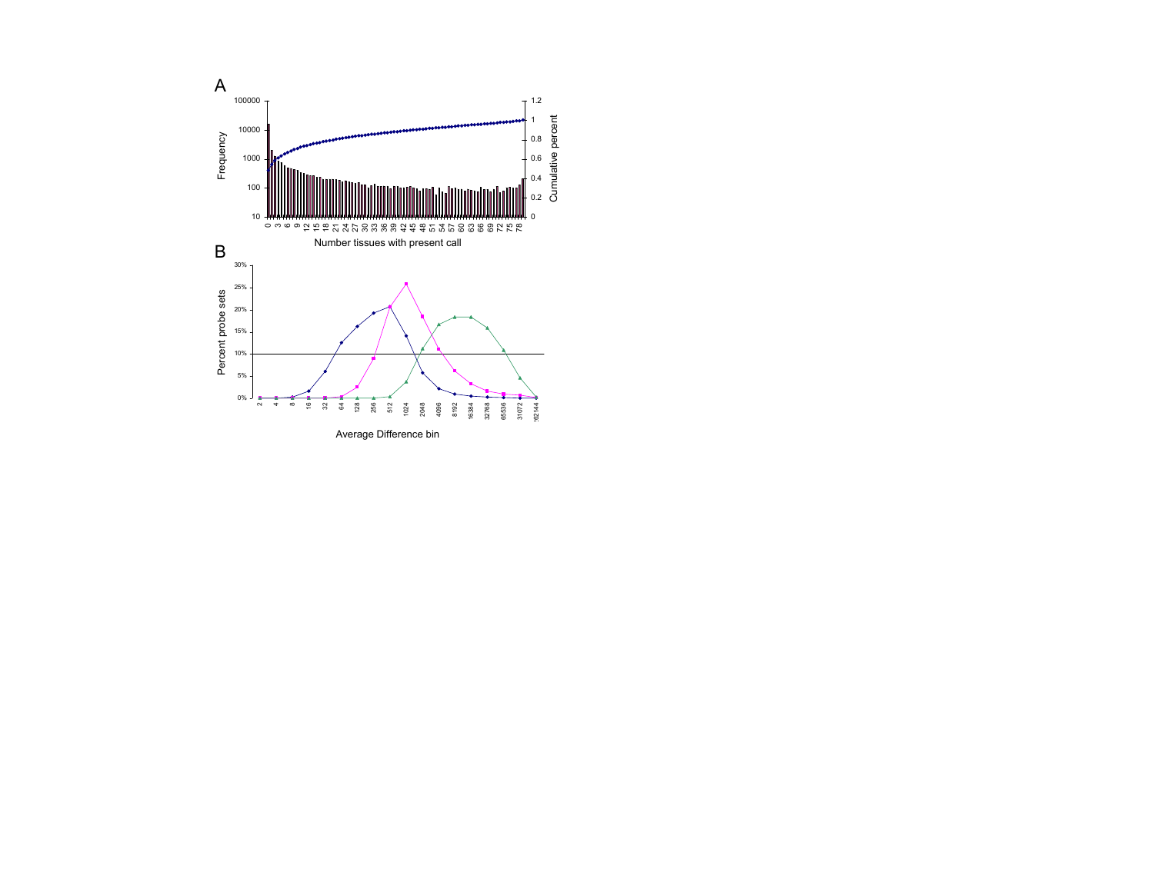

Average Difference bin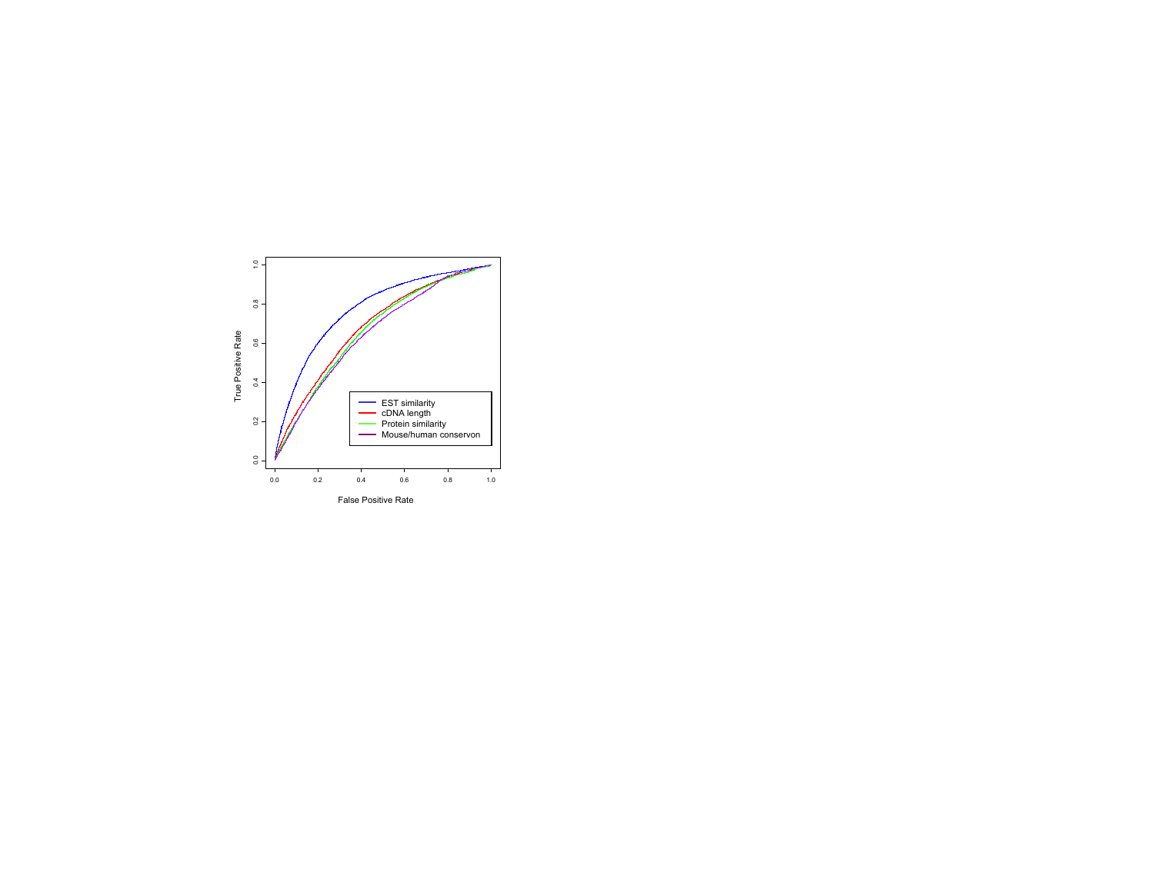

False Positive Rate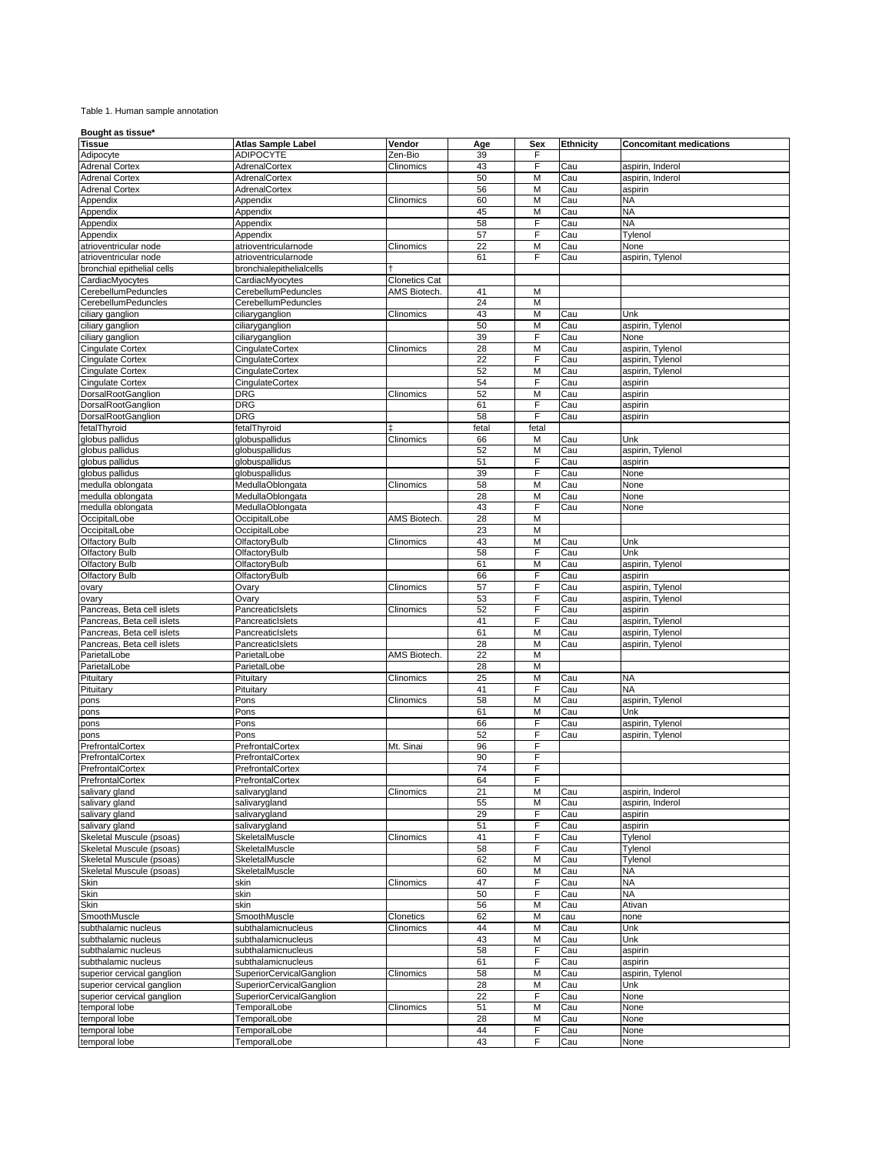## Table 1. Human sample annotation

## **Bought as tissue\***

| Tissue                     | <b>Atlas Sample Label</b>       | Vendor               | Age   | Sex   | <b>Ethnicity</b> | <b>Concomitant medications</b> |
|----------------------------|---------------------------------|----------------------|-------|-------|------------------|--------------------------------|
| Adipocyte                  | <b>ADIPOCYTE</b>                | Zen-Bio              | 39    | F     |                  |                                |
| <b>Adrenal Cortex</b>      | AdrenalCortex                   | Clinomics            | 43    | F     | Cau              | aspirin, Inderol               |
| <b>Adrenal Cortex</b>      | AdrenalCortex                   |                      | 50    | M     | Cau              | aspirin, Inderol               |
| <b>Adrenal Cortex</b>      | AdrenalCortex                   |                      | 56    | M     | Cau              | aspirin                        |
| Appendix                   | Appendix                        | Clinomics            | 60    | M     | Cau              | <b>NA</b>                      |
| Appendix                   | Appendix                        |                      | 45    | M     | Cau              | <b>NA</b>                      |
| Appendix                   | Appendix                        |                      | 58    | F     | Cau              | <b>NA</b>                      |
| Appendix                   | Appendix                        |                      | 57    | F     | Cau              | Tylenol                        |
| atrioventricular node      | atrioventricularnode            | Clinomics            | 22    | M     | Cau              | None                           |
| atrioventricular node      | atrioventricularnode            |                      | 61    | F     | Cau              | aspirin, Tylenol               |
|                            |                                 |                      |       |       |                  |                                |
| bronchial epithelial cells | bronchialepithelialcells        |                      |       |       |                  |                                |
| CardiacMyocytes            | CardiacMyocytes                 | <b>Clonetics Cat</b> |       |       |                  |                                |
| CerebellumPeduncles        | CerebellumPeduncles             | AMS Biotech.         | 41    | M     |                  |                                |
| CerebellumPeduncles        | CerebellumPeduncles             |                      | 24    | M     |                  |                                |
| ciliary ganglion           | ciliaryganglion                 | Clinomics            | 43    | M     | Cau              | Unk                            |
| ciliary ganglion           | ciliaryganglion                 |                      | 50    | M     | Cau              | aspirin, Tylenol               |
| ciliary ganglion           | ciliaryganglion                 |                      | 39    | F     | Cau              | None                           |
| <b>Cingulate Cortex</b>    | CingulateCortex                 | Clinomics            | 28    | M     | Cau              | aspirin, Tylenol               |
| <b>Cingulate Cortex</b>    | CingulateCortex                 |                      | 22    | F     | Cau              | aspirin, Tylenol               |
| <b>Cingulate Cortex</b>    | CingulateCortex                 |                      | 52    | M     | Cau              | aspirin, Tylenol               |
| <b>Cingulate Cortex</b>    | CingulateCortex                 |                      | 54    | F     | Cau              | aspirin                        |
|                            |                                 |                      |       |       |                  |                                |
| DorsalRootGanglion         | DRG                             | Clinomics            | 52    | M     | Cau              | aspirin                        |
| DorsalRootGanglion         | <b>DRG</b>                      |                      | 61    | F     | Cau              | aspirin                        |
| DorsalRootGanglion         | DRG                             |                      | 58    | F     | Cau              | aspirin                        |
| fetalThyroid               | fetalThyroid                    |                      | fetal | fetal |                  |                                |
| globus pallidus            | globuspallidus                  | Clinomics            | 66    | M     | Cau              | Unk                            |
| globus pallidus            | globuspallidus                  |                      | 52    | M     | Cau              | aspirin, Tylenol               |
| globus pallidus            | globuspallidus                  |                      | 51    | F     | Cau              | aspirin                        |
| globus pallidus            | globuspallidus                  |                      | 39    | F     | Cau              | None                           |
| medulla oblongata          | MedullaOblongata                | Clinomics            | 58    | M     | Cau              | None                           |
| medulla oblongata          | MedullaOblongata                |                      | 28    | M     | Cau              | None                           |
|                            |                                 |                      |       |       |                  |                                |
| medulla oblongata          | MedullaOblongata                |                      | 43    | F     | Cau              | None                           |
| OccipitalLobe              | OccipitalLobe                   | AMS Biotech.         | 28    | M     |                  |                                |
| OccipitalLobe              | OccipitalLobe                   |                      | 23    | M     |                  |                                |
| <b>Olfactory Bulb</b>      | OlfactoryBulb                   | Clinomics            | 43    | M     | Cau              | Unk                            |
| <b>Olfactory Bulb</b>      | OlfactoryBulb                   |                      | 58    | F     | Cau              | Unk                            |
| <b>Olfactory Bulb</b>      | OlfactoryBulb                   |                      | 61    | M     | Cau              | aspirin, Tylenol               |
| <b>Olfactory Bulb</b>      | OlfactoryBulb                   |                      | 66    | F     | Cau              | aspirin                        |
| ovary                      | Ovary                           | Clinomics            | 57    | F     | Cau              | aspirin, Tylenol               |
| ovary                      | Ovary                           |                      | 53    | F     | Cau              | aspirin, Tylenol               |
| Pancreas, Beta cell islets | PancreaticIslets                | Clinomics            | 52    | F     | Cau              | aspirin                        |
| Pancreas, Beta cell islets | PancreaticIslets                |                      | 41    | F     | Cau              | aspirin, Tylenol               |
|                            |                                 |                      |       | M     |                  |                                |
| Pancreas, Beta cell islets | PancreaticIslets                |                      | 61    |       | Cau              | aspirin, Tylenol               |
| Pancreas, Beta cell islets | PancreaticIslets                |                      | 28    | M     | Cau              | aspirin, Tylenol               |
| ParietalLobe               | ParietalLobe                    | AMS Biotech.         | 22    | M     |                  |                                |
| ParietalLobe               | ParietalLobe                    |                      | 28    | M     |                  |                                |
| Pituitary                  | Pituitary                       | Clinomics            | 25    | M     | Cau              | <b>NA</b>                      |
| Pituitary                  | Pituitary                       |                      | 41    | F     | Cau              | <b>NA</b>                      |
| pons                       | Pons                            | Clinomics            | 58    | M     | Cau              | aspirin, Tylenol               |
| pons                       | Pons                            |                      | 61    | M     | Cau              | Unk                            |
| pons                       | Pons                            |                      | 66    | F     | Cau              | aspirin, Tylenol               |
| pons                       | Pons                            |                      | 52    | F     | Cau              | aspirin, Tylenol               |
| PrefrontalCortex           | PrefrontalCortex                | Mt. Sinai            | 96    | F     |                  |                                |
| PrefrontalCortex           | PrefrontalCortex                |                      | 90    | F     |                  |                                |
| PrefrontalCortex           | PrefrontalCortex                |                      | 74    | F     |                  |                                |
| PrefrontalCortex           | PrefrontalCortex                |                      | 64    | F     |                  |                                |
|                            |                                 |                      |       |       |                  |                                |
| salivary gland             | salivarygland                   | Clinomics            | 21    | M     | Cau              | aspirin, Inderol               |
| salivary gland             | salivarygland                   |                      | 55    | M     | Cau              | aspirin, Inderol               |
| salivary gland             | salivarygland                   |                      | 29    | F     | Cau              | aspirin                        |
| salivary gland             | salivarygland                   |                      | 51    | F     | Cau              | aspirin                        |
| Skeletal Muscule (psoas)   | SkeletalMuscle                  | Clinomics            | 41    | F     | Cau              | Tylenol                        |
| Skeletal Muscule (psoas)   | SkeletalMuscle                  |                      | 58    | F     | Cau              | Tylenol                        |
| Skeletal Muscule (psoas)   | SkeletalMuscle                  |                      | 62    | M     | Cau              | Tylenol                        |
| Skeletal Muscule (psoas)   | SkeletalMuscle                  |                      | 60    | M     | Cau              | <b>NA</b>                      |
| Skin                       | skin                            | Clinomics            | 47    | F     | Cau              | <b>NA</b>                      |
| Skin                       | skin                            |                      | 50    | F     | Cau              | <b>NA</b>                      |
| Skin                       | skin                            |                      | 56    | M     | Cau              | Ativan                         |
| SmoothMuscle               | SmoothMuscle                    |                      |       | M     |                  |                                |
|                            |                                 | Clonetics            | 62    |       | cau              | none                           |
| subthalamic nucleus        | subthalamicnucleus              | Clinomics            | 44    | M     | Cau              | Unk                            |
| subthalamic nucleus        | subthalamicnucleus              |                      | 43    | M     | Cau              | Unk                            |
| subthalamic nucleus        | subthalamicnucleus              |                      | 58    | F     | Cau              | aspirin                        |
| subthalamic nucleus        | subthalamicnucleus              |                      | 61    | F     | Cau              | aspirin                        |
| superior cervical ganglion | SuperiorCervicalGanglion        | Clinomics            | 58    | M     | Cau              | aspirin, Tylenol               |
| superior cervical ganglion | SuperiorCervicalGanglion        |                      | 28    | M     | Cau              | Unk                            |
| superior cervical ganglion | <b>SuperiorCervicalGanglion</b> |                      | 22    | F     | Cau              | None                           |
| temporal lobe              | TemporalLobe                    | Clinomics            | 51    | M     | Cau              | None                           |
| temporal lobe              | TemporalLobe                    |                      | 28    | M     | Cau              | None                           |
| temporal lobe              | TemporalLobe                    |                      | 44    | F     | Cau              | None                           |
| temporal lobe              | TemporalLobe                    |                      | 43    | F     | Cau              | None                           |
|                            |                                 |                      |       |       |                  |                                |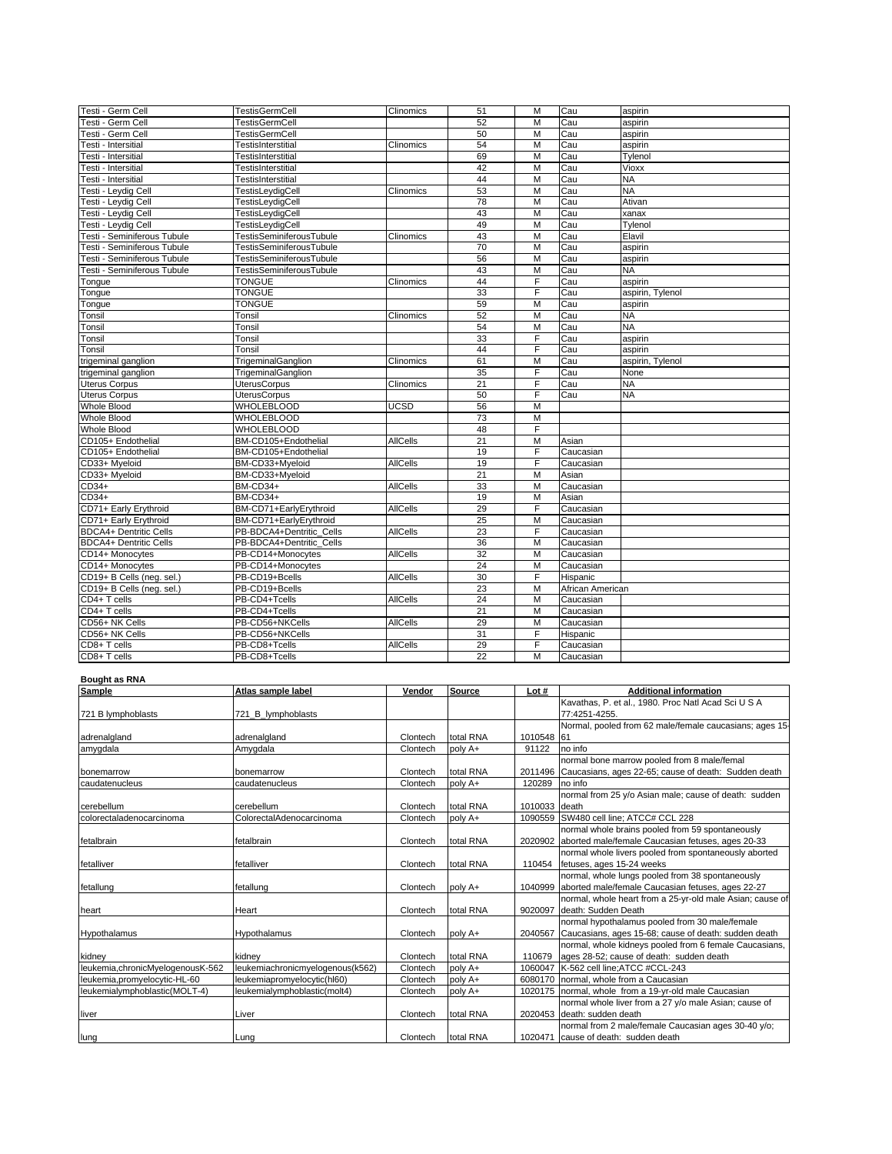| Testi - Germ Cell             | TestisGermCell                  | Clinomics       | 51 | М | Cau              | aspirin          |
|-------------------------------|---------------------------------|-----------------|----|---|------------------|------------------|
| Testi - Germ Cell             | <b>TestisGermCell</b>           |                 | 52 | M | Cau              | aspirin          |
| Testi - Germ Cell             | <b>TestisGermCell</b>           |                 | 50 | M | Cau              | aspirin          |
| Testi - Intersitial           | <b>TestisInterstitial</b>       | Clinomics       | 54 | M | Cau              | aspirin          |
| Testi - Intersitial           | TestisInterstitial              |                 | 69 | M | Cau              | Tylenol          |
| Testi - Intersitial           | TestisInterstitial              |                 | 42 | M | Cau              | Vioxx            |
| Testi - Intersitial           | <b>TestisInterstitial</b>       |                 | 44 | M | Cau              | <b>NA</b>        |
| Testi - Leydig Cell           | TestisLeydigCell                | Clinomics       | 53 | M | Cau              | <b>NA</b>        |
| Testi - Leydig Cell           | <b>TestisLeydigCell</b>         |                 | 78 | М | Cau              | Ativan           |
| <b>Festi - Leydig Cell</b>    | TestisLeydigCell                |                 | 43 | М | Cau              | xanax            |
| Testi - Leydig Cell           | TestisLeydigCell                |                 | 49 | M | Cau              | Tylenol          |
| Testi - Seminiferous Tubule   | <b>TestisSeminiferousTubule</b> | Clinomics       | 43 | M | Cau              | Elavil           |
| Testi - Seminiferous Tubule   | <b>TestisSeminiferousTubule</b> |                 | 70 | M | Cau              | aspirin          |
| Testi - Seminiferous Tubule   | <b>TestisSeminiferousTubule</b> |                 | 56 | M | Cau              | aspirin          |
| Testi - Seminiferous Tubule   | TestisSeminiferousTubule        |                 | 43 | M | Cau              | <b>NA</b>        |
| Tongue                        | <b>TONGUE</b>                   | Clinomics       | 44 | F | Cau              | aspirin          |
| Tongue                        | <b>TONGUE</b>                   |                 | 33 | F | Cau              | aspirin, Tylenol |
| Tongue                        | <b>TONGUE</b>                   |                 | 59 | M | Cau              | aspirin          |
| Tonsil                        | Tonsil                          | Clinomics       | 52 | М | Cau              | <b>NA</b>        |
| Tonsil                        | Tonsil                          |                 | 54 | M | Cau              | <b>NA</b>        |
| Tonsil                        | Tonsil                          |                 | 33 | F | Cau              | aspirin          |
| Tonsil                        | Tonsil                          |                 | 44 | F | Cau              | aspirin          |
| trigeminal ganglion           | TrigeminalGanglion              | Clinomics       | 61 | М | Cau              | aspirin, Tylenol |
| trigeminal ganglion           | TrigeminalGanglion              |                 | 35 | F | Cau              | None             |
| <b>Uterus Corpus</b>          | <b>UterusCorpus</b>             | Clinomics       | 21 | F | Cau              | <b>NA</b>        |
| <b>Uterus Corpus</b>          | <b>UterusCorpus</b>             |                 | 50 | F | Cau              | <b>NA</b>        |
| Whole Blood                   | <b>WHOLEBLOOD</b>               | <b>UCSD</b>     | 56 | M |                  |                  |
| <b>Whole Blood</b>            | <b>WHOLEBLOOD</b>               |                 | 73 | M |                  |                  |
| <b>Whole Blood</b>            | <b>WHOLEBLOOD</b>               |                 | 48 | F |                  |                  |
| CD105+ Endothelial            | BM-CD105+Endothelial            | <b>AllCells</b> | 21 | М | Asian            |                  |
| CD105+ Endothelial            | BM-CD105+Endothelial            |                 | 19 | F | Caucasian        |                  |
| CD33+ Myeloid                 | BM-CD33+Myeloid                 | <b>AllCells</b> | 19 | F | Caucasian        |                  |
| CD33+ Myeloid                 | BM-CD33+Myeloid                 |                 | 21 | M | Asian            |                  |
| $CD34+$                       | BM-CD34+                        | <b>AllCells</b> | 33 | M | Caucasian        |                  |
| $CD34+$                       | <b>BM-CD34+</b>                 |                 | 19 | M | Asian            |                  |
| CD71+ Early Erythroid         | BM-CD71+EarlyErythroid          | <b>AllCells</b> | 29 | F | Caucasian        |                  |
| CD71+ Early Erythroid         | BM-CD71+EarlyErythroid          |                 | 25 | M | Caucasian        |                  |
| <b>BDCA4+ Dentritic Cells</b> | PB-BDCA4+Dentritic Cells        | <b>AllCells</b> | 23 | F | Caucasian        |                  |
| <b>BDCA4+ Dentritic Cells</b> | PB-BDCA4+Dentritic Cells        |                 | 36 | M | Caucasian        |                  |
| CD14+ Monocytes               | PB-CD14+Monocytes               | <b>AllCells</b> | 32 | М | Caucasian        |                  |
| CD14+ Monocytes               | PB-CD14+Monocytes               |                 | 24 | M | Caucasian        |                  |
| CD19+ B Cells (neg. sel.)     | PB-CD19+Bcells                  | <b>AllCells</b> | 30 | F | Hispanic         |                  |
| CD19+ B Cells (neq. sel.)     | PB-CD19+Bcells                  |                 | 23 | М | African American |                  |
| CD4+ T cells                  | PB-CD4+Tcells                   | <b>AllCells</b> | 24 | М | Caucasian        |                  |
| CD4+ T cells                  | PB-CD4+Tcells                   |                 | 21 | M | Caucasian        |                  |
| CD56+ NK Cells                | PB-CD56+NKCells                 | <b>AllCells</b> | 29 | M | Caucasian        |                  |
| CD56+ NK Cells                | PB-CD56+NKCells                 |                 | 31 | F | Hispanic         |                  |
| CD8+ T cells                  | PB-CD8+Tcells                   | <b>AllCells</b> | 29 | F | Caucasian        |                  |
| CD8+ T cells                  | PB-CD8+Tcells                   |                 | 22 | М | Caucasian        |                  |
|                               |                                 |                 |    |   |                  |                  |
| <b>Bought as RNA</b>          |                                 |                 |    |   |                  |                  |

| Sample                            | Atlas sample label               | Vendor   | <b>Source</b> | Lot #         | <b>Additional information</b>                             |
|-----------------------------------|----------------------------------|----------|---------------|---------------|-----------------------------------------------------------|
|                                   |                                  |          |               |               | Kavathas, P. et al., 1980. Proc Natl Acad Sci U S A       |
| 721 B lymphoblasts                | 721_B_lymphoblasts               |          |               |               | 77:4251-4255.                                             |
|                                   |                                  |          |               |               | Normal, pooled from 62 male/female caucasians; ages 15-   |
| adrenalgland                      | adrenalgland                     | Clontech | total RNA     | 1010548 61    |                                                           |
| amyqdala                          | Amygdala                         | Clontech | poly A+       | 91122         | no info                                                   |
|                                   |                                  |          |               |               | normal bone marrow pooled from 8 male/femal               |
| bonemarrow                        | bonemarrow                       | Clontech | total RNA     | 2011496       | Caucasians, ages 22-65; cause of death: Sudden death      |
| caudatenucleus                    | caudatenucleus                   | Clontech | poly A+       | 120289        | no info                                                   |
|                                   |                                  |          |               |               | normal from 25 y/o Asian male; cause of death: sudden     |
| cerebellum                        | cerebellum                       | Clontech | total RNA     | 1010033 death |                                                           |
| colorectaladenocarcinoma          | ColorectalAdenocarcinoma         | Clontech | poly A+       | 1090559       | SW480 cell line; ATCC# CCL 228                            |
|                                   |                                  |          |               |               | normal whole brains pooled from 59 spontaneously          |
| fetalbrain                        | fetalbrain                       | Clontech | total RNA     | 2020902       | aborted male/female Caucasian fetuses, ages 20-33         |
|                                   |                                  |          |               |               | normal whole livers pooled from spontaneously aborted     |
| fetalliver                        | fetalliver                       | Clontech | total RNA     | 110454        | fetuses, ages 15-24 weeks                                 |
|                                   |                                  |          |               |               | normal, whole lungs pooled from 38 spontaneously          |
| fetallung                         | fetallung                        | Clontech | poly A+       |               | 1040999 aborted male/female Caucasian fetuses, ages 22-27 |
|                                   |                                  |          |               |               | normal, whole heart from a 25-yr-old male Asian; cause of |
| heart                             | Heart                            | Clontech | total RNA     | 9020097       | death: Sudden Death                                       |
|                                   |                                  |          |               |               | normal hypothalamus pooled from 30 male/female            |
| Hypothalamus                      | Hypothalamus                     | Clontech | poly A+       | 2040567       | Caucasians, ages 15-68; cause of death: sudden death      |
|                                   |                                  |          |               |               | normal, whole kidneys pooled from 6 female Caucasians,    |
| kidney                            | kidnev                           | Clontech | total RNA     | 110679        | ages 28-52; cause of death: sudden death                  |
| leukemia, chronicMyelogenousK-562 | leukemiachronicmyelogenous(k562) | Clontech | poly A+       |               | 1060047 K-562 cell line; ATCC #CCL-243                    |
| leukemia,promyelocytic-HL-60      | leukemiapromyelocytic(hl60)      | Clontech | poly A+       |               | 6080170 Inormal, whole from a Caucasian                   |
| leukemialymphoblastic(MOLT-4)     | leukemialymphoblastic(molt4)     | Clontech | poly A+       |               | 1020175 normal, whole from a 19-yr-old male Caucasian     |
|                                   |                                  |          |               |               | normal whole liver from a 27 y/o male Asian; cause of     |
| liver                             | Liver                            | Clontech | total RNA     |               | 2020453 death: sudden death                               |
|                                   |                                  |          |               |               | normal from 2 male/female Caucasian ages 30-40 y/o;       |
| lung                              | Lung                             | Clontech | total RNA     |               | 1020471 cause of death: sudden death                      |